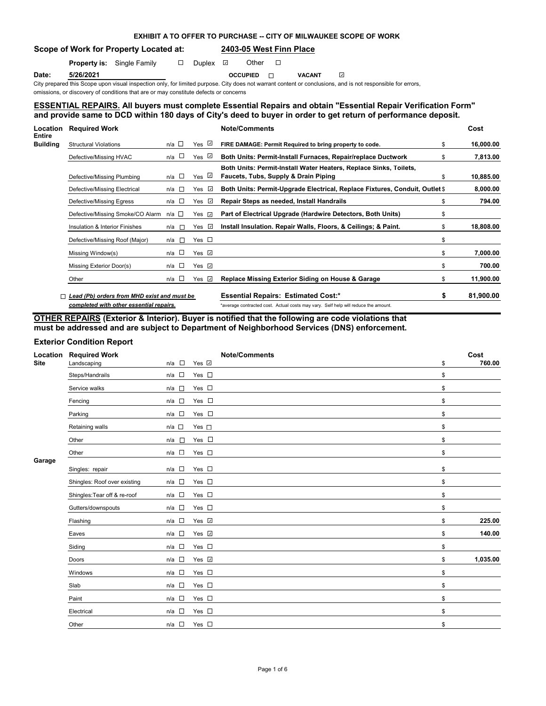|                               | <b>EXHIBIT A TO OFFER TO PURCHASE -- CITY OF MILWAUKEE SCOPE OF WORK</b> |
|-------------------------------|--------------------------------------------------------------------------|
| Work for Property Located at: | 2403-05 West Finn Place                                                  |

**Property is:** Single Family  $\Box$  Duplex  $\Box$  Other  $\Box$ 

**Scope of** 

**Date: 5/26/2021 OCCUPIED VACANT**

 $\mathbf{v}$ City prepared this Scope upon visual inspection only, for limited purpose. City does not warrant content or conclusions, and is not responsible for errors,

omissions, or discovery of conditions that are or may constitute defects or concerns

## **ESSENTIAL REPAIRS. All buyers must complete Essential Repairs and obtain "Essential Repair Verification Form" and provide same to DCD within 180 days of City's deed to buyer in order to get return of performance deposit.**

| Location<br>Entire | <b>Required Work</b>                        |               |                                                                                                                       |                  | <b>Note/Comments</b>                                                                                      |    | Cost      |
|--------------------|---------------------------------------------|---------------|-----------------------------------------------------------------------------------------------------------------------|------------------|-----------------------------------------------------------------------------------------------------------|----|-----------|
| Building           | <b>Structural Violations</b>                | n/a $\square$ |                                                                                                                       | Yes ⊡            | FIRE DAMAGE: Permit Required to bring property to code.                                                   | \$ | 16,000.00 |
|                    | Defective/Missing HVAC                      | n/a           | $\sim$                                                                                                                | Yes $\mathbb{Z}$ | Both Units: Permit-Install Furnaces, Repair/replace Ductwork                                              | \$ | 7,813.00  |
|                    | Defective/Missing Plumbing                  | n/a $\square$ |                                                                                                                       | Yes ⊠            | Both Units: Permit-Install Water Heaters, Replace Sinks, Toilets,<br>Faucets, Tubs, Supply & Drain Piping | \$ | 10,885.00 |
|                    | Defective/Missing Electrical                | n/a           | <b>The Contract of the Contract of the Contract of the Contract of the Contract of the Contract of the Contract o</b> | Yes $\sqrt{ }$   | Both Units: Permit-Upgrade Electrical, Replace Fixtures, Conduit, Outlet \$                               |    | 8,000.00  |
|                    | Defective/Missing Egress                    | $n/a$ $\Box$  |                                                                                                                       | Yes ⊡            | Repair Steps as needed, Install Handrails                                                                 | \$ | 794.00    |
|                    | Defective/Missing Smoke/CO Alarm            | n/a □         |                                                                                                                       | Yes ⊡            | Part of Electrical Upgrade (Hardwire Detectors, Both Units)                                               | \$ |           |
|                    | Insulation & Interior Finishes              | n/a           | <b>Tall</b>                                                                                                           | Yes $\sqrt{ }$   | Install Insulation. Repair Walls, Floors, & Ceilings; & Paint.                                            | \$ | 18,808.00 |
|                    | Defective/Missing Roof (Major)              | n/a l⊟        |                                                                                                                       | Yes $\square$    |                                                                                                           | \$ |           |
|                    | Missing Window(s)                           | n/a           | $\sim 10$                                                                                                             | Yes $\Box$       |                                                                                                           | \$ | 7,000.00  |
|                    | Missing Exterior Door(s)                    | n/a $\square$ |                                                                                                                       | Yes $\sqrt{2}$   |                                                                                                           | \$ | 700.00    |
|                    | Other                                       | $n/a$ $\Box$  |                                                                                                                       | Yes $\sqrt{2}$   | Replace Missing Exterior Siding on House & Garage                                                         | \$ | 11,900.00 |
|                    | Lead (Pb) orders from MHD exist and must be |               |                                                                                                                       |                  | <b>Essential Repairs: Estimated Cost:*</b>                                                                | S  | 81,900.00 |

*completed with other essential repairs.* \*average contracted cost. Actual costs may vary. Self help will reduce the amount.

**OTHER REPAIRS (Exterior & Interior). Buyer is notified that the following are code violations that** 

**must be addressed and are subject to Department of Neighborhood Services (DNS) enforcement.**

### **Exterior Condition Report**

| Location<br><b>Site</b> | <b>Required Work</b><br>Landscaping | <b>Note/Comments</b><br>Yes <b>D</b><br>$n/a$ $\Box$ | Cost<br>760.00<br>\$ |
|-------------------------|-------------------------------------|------------------------------------------------------|----------------------|
|                         | Steps/Handrails                     | $n/a$ $\Box$<br>Yes $\square$                        | \$                   |
|                         | Service walks                       | Yes $\square$<br>n/a<br>Lini                         | \$                   |
|                         | Fencing                             | Yes $\square$<br>n/a                                 | \$                   |
|                         | Parking                             | Yes $\square$<br>$\mathbb{R}^n$<br>n/a               | \$                   |
|                         | Retaining walls                     | $n/a$ $\square$<br>Yes $\square$                     | \$                   |
|                         | Other                               | Yes $\square$<br>$n/a$ $\square$                     | \$                   |
|                         | Other                               | n/a<br>Yes $\square$                                 | \$                   |
| Garage                  | Singles: repair                     | Yes $\square$<br>$n/a$ $\square$                     | \$                   |
|                         | Shingles: Roof over existing        | Yes $\square$<br>$n/a$ $\square$                     | \$                   |
|                         | Shingles: Tear off & re-roof        | n/a<br>Yes $\square$                                 | \$                   |
|                         | Gutters/downspouts                  | Yes $\square$<br>$n/a$ $\square$                     | \$                   |
|                         | Flashing                            | $n/a$ $\square$<br>Yes <b>D</b>                      | 225.00<br>\$         |
|                         | Eaves                               | Yes V<br>$\sim$<br>n/a                               | 140.00<br>\$         |
|                         | Siding                              | Yes $\square$<br>$n/a$ $\square$                     | \$                   |
|                         | Doors                               | $n/a$ $\square$<br>Yes ⊻                             | 1,035.00<br>\$       |
|                         | Windows                             | $n/a$ $\square$<br>Yes $\square$                     | \$                   |
|                         | Slab                                | $n/a$ $\Box$<br>Yes $\square$                        | \$                   |
|                         | Paint                               | $n/a$ $\square$<br>Yes $\square$                     | \$                   |
|                         | Electrical                          | $n/a$ $\Box$<br>Yes $\square$                        | \$                   |
|                         | Other                               | Yes $\square$<br>$n/a$ $\square$                     | \$                   |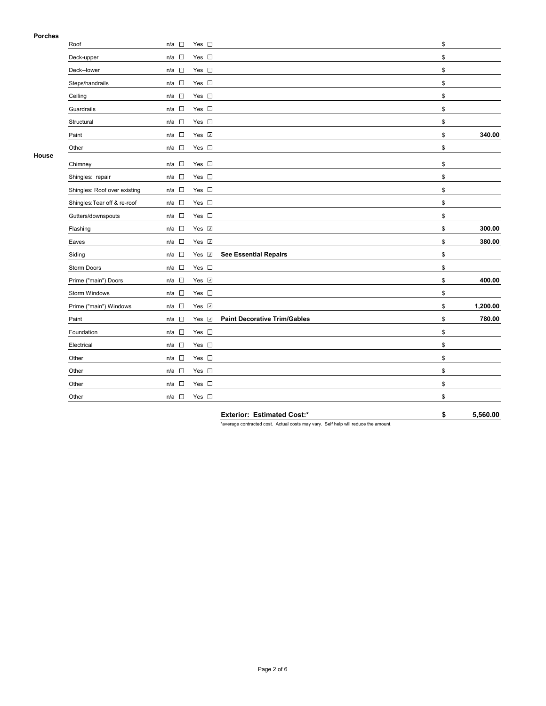## **Porches**

| Deck-upper<br>Deck--lower<br>Steps/handrails<br>Guardrails | n/a $\square$<br>$n/a$ $\square$<br>n/a<br>$n/a$ $\square$<br>$\sim 10$<br>n/a                                                                                                                                                                            | Yes $\square$<br>Yes $\square$<br>Yes $\square$<br>Yes $\square$ |                                     | \$<br>\$<br>\$ |          |
|------------------------------------------------------------|-----------------------------------------------------------------------------------------------------------------------------------------------------------------------------------------------------------------------------------------------------------|------------------------------------------------------------------|-------------------------------------|----------------|----------|
|                                                            |                                                                                                                                                                                                                                                           |                                                                  |                                     |                |          |
|                                                            |                                                                                                                                                                                                                                                           |                                                                  |                                     |                |          |
|                                                            |                                                                                                                                                                                                                                                           |                                                                  |                                     |                |          |
|                                                            |                                                                                                                                                                                                                                                           |                                                                  |                                     | \$             |          |
|                                                            |                                                                                                                                                                                                                                                           | Yes $\square$                                                    |                                     | \$             |          |
|                                                            | $n/a$ $\square$                                                                                                                                                                                                                                           | Yes $\square$                                                    |                                     | \$             |          |
|                                                            | $\Box$<br>n/a                                                                                                                                                                                                                                             | Yes $\square$                                                    |                                     | \$             |          |
|                                                            | $\sim 10$<br>n/a                                                                                                                                                                                                                                          | Yes <b>⊽</b>                                                     |                                     | \$             | 340.00   |
|                                                            | $n/a$ $\Box$                                                                                                                                                                                                                                              | Yes $\square$                                                    |                                     | \$             |          |
|                                                            | $\sim$<br>n/a                                                                                                                                                                                                                                             | Yes $\square$                                                    |                                     | \$             |          |
|                                                            | $\sim$<br>n/a                                                                                                                                                                                                                                             | Yes $\square$                                                    |                                     | \$             |          |
|                                                            | $n/a$ $\square$                                                                                                                                                                                                                                           | Yes $\square$                                                    |                                     | \$             |          |
|                                                            | $n/a$ $\square$                                                                                                                                                                                                                                           | Yes $\square$                                                    |                                     | \$             |          |
|                                                            | $\sim$<br>n/a                                                                                                                                                                                                                                             | Yes $\square$                                                    |                                     | \$             |          |
|                                                            | $n/a$ $\square$                                                                                                                                                                                                                                           | Yes 7                                                            |                                     | \$             | 300.00   |
|                                                            | n/a                                                                                                                                                                                                                                                       | Yes V                                                            |                                     | \$             | 380.00   |
|                                                            | $\overline{\phantom{a}}$<br>n/a                                                                                                                                                                                                                           | Yes Z                                                            | <b>See Essential Repairs</b>        | \$             |          |
|                                                            | $n/a$ $\square$                                                                                                                                                                                                                                           | Yes $\square$                                                    |                                     | \$             |          |
|                                                            | $n/a$ $\square$                                                                                                                                                                                                                                           | Yes <b>☑</b>                                                     |                                     | \$             | 400.00   |
|                                                            | $\sim$<br>n/a                                                                                                                                                                                                                                             | Yes $\square$                                                    |                                     | \$             |          |
|                                                            | $n/a$ $\square$                                                                                                                                                                                                                                           | Yes <b>⊽</b>                                                     |                                     | \$             | 1,200.00 |
|                                                            | $n/a$ $\square$                                                                                                                                                                                                                                           | Yes <b>☑</b>                                                     | <b>Paint Decorative Trim/Gables</b> | \$             | 780.00   |
|                                                            | $n/a$ $\square$                                                                                                                                                                                                                                           | Yes $\square$                                                    |                                     | \$             |          |
|                                                            | $\Box$<br>n/a                                                                                                                                                                                                                                             | Yes $\square$                                                    |                                     | \$             |          |
|                                                            | $n/a$ $\square$                                                                                                                                                                                                                                           | Yes $\square$                                                    |                                     | \$             |          |
|                                                            | $n/a$ $\square$                                                                                                                                                                                                                                           | Yes $\square$                                                    |                                     | \$             |          |
|                                                            | $\mathcal{L}$<br>n/a                                                                                                                                                                                                                                      | Yes $\square$                                                    |                                     | \$             |          |
|                                                            | $n/a$ $\square$                                                                                                                                                                                                                                           | Yes $\square$                                                    |                                     | \$             |          |
|                                                            | Structural<br>Chimney<br>Shingles: repair<br>Shingles: Roof over existing<br>Shingles: Tear off & re-roof<br>Gutters/downspouts<br>Flashing<br>Storm Doors<br>Prime ("main") Doors<br>Storm Windows<br>Prime ("main") Windows<br>Foundation<br>Electrical |                                                                  |                                     |                |          |

**Exterior: Estimated Cost:\* \$ 5,560.00**

\*average contracted cost. Actual costs may vary. Self help will reduce the amount.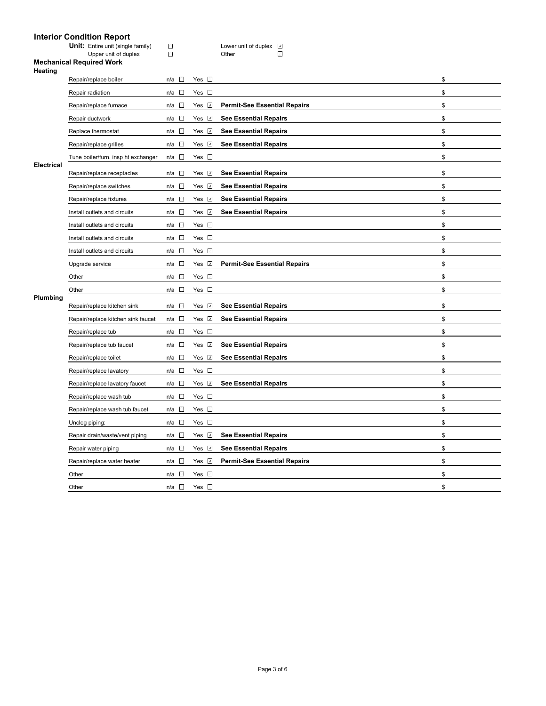# **Interior Condition Report**

| <b>Unit:</b> Entire unit (single family) | Lower |
|------------------------------------------|-------|
| Upper unit of duplex                     | Other |

Unit: Unit Computer unit of duplex<br>
<u>Discussed</u><br>
Discussed family Discussed family Discussed Discussed Discussed Discussed Discussed Discussed Discussed Discussed<br>
Discussed Discussed Discussed Discussed Discussed Discuss  $\Box$ 

### **Mechanical Required Work**

| <b>Heating</b> |                                     |                                    |               |                                     |    |
|----------------|-------------------------------------|------------------------------------|---------------|-------------------------------------|----|
|                | Repair/replace boiler               | $\mathcal{L}_{\mathcal{A}}$<br>n/a | Yes $\square$ |                                     | \$ |
|                | Repair radiation                    | $\overline{\phantom{a}}$<br>n/a    | Yes $\square$ |                                     | \$ |
|                | Repair/replace furnace              | □<br>n/a                           | Yes <b>☑</b>  | <b>Permit-See Essential Repairs</b> | \$ |
|                | Repair ductwork                     | П<br>n/a                           | Yes <b>☑</b>  | <b>See Essential Repairs</b>        | \$ |
|                | Replace thermostat                  | $\sim$<br>n/a                      | Yes <b>☑</b>  | <b>See Essential Repairs</b>        | \$ |
|                | Repair/replace grilles              | $\mathcal{L}_{\mathcal{A}}$<br>n/a | Yes <b>☑</b>  | <b>See Essential Repairs</b>        | \$ |
|                | Tune boiler/furn. insp ht exchanger | $\sim$<br>n/a                      | Yes $\square$ |                                     | \$ |
| Electrical     | Repair/replace receptacles          | $\Box$<br>n/a                      | Yes <b>☑</b>  | <b>See Essential Repairs</b>        | \$ |
|                | Repair/replace switches             | $\overline{\phantom{a}}$<br>n/a    | Yes <b>☑</b>  | <b>See Essential Repairs</b>        | \$ |
|                | Repair/replace fixtures             | $\mathcal{L}$<br>n/a               | Yes $\vee$    | <b>See Essential Repairs</b>        | \$ |
|                | Install outlets and circuits        | $\mathcal{L}_{\mathcal{A}}$<br>n/a | Yes <b>⊽</b>  | <b>See Essential Repairs</b>        | \$ |
|                | Install outlets and circuits        | $\Box$<br>n/a                      | Yes $\square$ |                                     | \$ |
|                | Install outlets and circuits        | $\sim$<br>n/a                      | Yes $\square$ |                                     | \$ |
|                | Install outlets and circuits        | $\mathbb{Z}$<br>n/a                | Yes $\square$ |                                     | \$ |
|                | Upgrade service                     | $\Box$<br>n/a                      | Yes V         | <b>Permit-See Essential Repairs</b> | \$ |
|                | Other                               | $\Box$<br>n/a                      | Yes $\square$ |                                     | \$ |
|                | Other                               | $\mathbb{Z}$<br>n/a                | Yes $\square$ |                                     | \$ |
| Plumbing       | Repair/replace kitchen sink         | $\mathcal{L}_{\mathcal{A}}$<br>n/a | Yes <b>☑</b>  | <b>See Essential Repairs</b>        | \$ |
|                | Repair/replace kitchen sink faucet  | $\sim$<br>n/a                      | Yes <b>☑</b>  | <b>See Essential Repairs</b>        | \$ |
|                | Repair/replace tub                  | $\overline{a}$<br>n/a              | Yes $\square$ |                                     | \$ |
|                | Repair/replace tub faucet           | <b>TO</b><br>n/a                   | Yes <b></b>   | <b>See Essential Repairs</b>        | \$ |
|                | Repair/replace toilet               | $\Box$<br>n/a                      | Yes <b></b>   | <b>See Essential Repairs</b>        | \$ |
|                | Repair/replace lavatory             | $\Box$<br>n/a                      | Yes $\square$ |                                     | \$ |
|                | Repair/replace lavatory faucet      | $\sim 10$<br>n/a                   | Yes <b>☑</b>  | <b>See Essential Repairs</b>        | \$ |
|                | Repair/replace wash tub             | $\overline{\phantom{a}}$<br>n/a    | Yes $\square$ |                                     | \$ |
|                | Repair/replace wash tub faucet      | $\Box$<br>n/a                      | Yes $\square$ |                                     | \$ |
|                | Unclog piping:                      | $\Box$<br>n/a                      | Yes $\square$ |                                     | \$ |
|                | Repair drain/waste/vent piping      | $\Box$<br>n/a                      | Yes <b></b>   | <b>See Essential Repairs</b>        | \$ |
|                | Repair water piping                 | $\Box$<br>n/a                      | Yes √         | <b>See Essential Repairs</b>        | \$ |
|                | Repair/replace water heater         | П<br>n/a                           | Yes <b>☑</b>  | <b>Permit-See Essential Repairs</b> | \$ |
|                | Other                               | $\overline{\phantom{a}}$<br>n/a    | Yes $\square$ |                                     | \$ |
|                | Other                               | $\Box$<br>n/a                      | Yes $\square$ |                                     | \$ |
|                |                                     |                                    |               |                                     |    |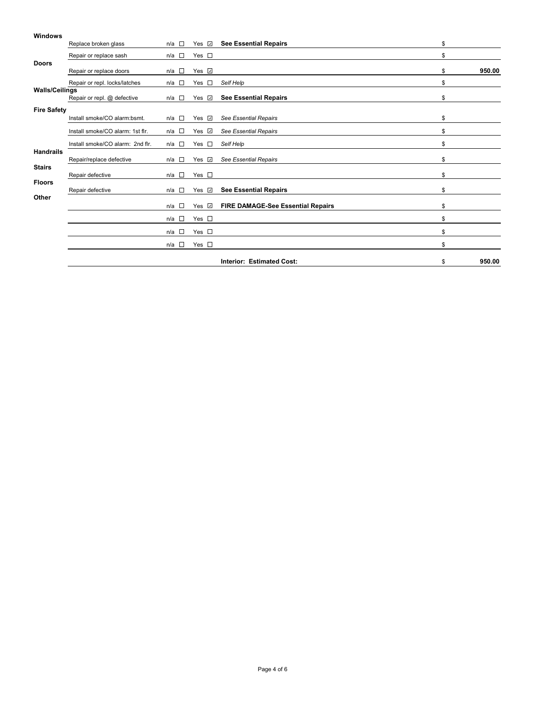### **Windows**

|                       | Replace broken glass             | $n/a$ $\Box$            | Yes $\sqrt{2}$     | <b>See Essential Repairs</b>             | \$           |
|-----------------------|----------------------------------|-------------------------|--------------------|------------------------------------------|--------------|
|                       | Repair or replace sash           | n/a $\square$           | Yes $\square$      |                                          | \$           |
| <b>Doors</b>          | Repair or replace doors          | n/a<br><b>TERRITORY</b> | Yes <b>☑</b>       |                                          | \$<br>950.00 |
|                       | Repair or repl. locks/latches    | n/a □                   | $\sim$<br>Yes      | Self Help                                | \$           |
| <b>Walls/Ceilings</b> | Repair or repl. @ defective      | n/a $\square$           | Yes $\overline{v}$ | <b>See Essential Repairs</b>             | \$           |
| <b>Fire Safety</b>    | Install smoke/CO alarm:bsmt.     | n/a $\square$           | Yes $\Box$         | <b>See Essential Repairs</b>             | \$           |
|                       | Install smoke/CO alarm: 1st flr. | $n/a$ $\square$         | Yes <b>☑</b>       | See Essential Repairs                    | \$           |
|                       | Install smoke/CO alarm: 2nd flr. | n/a $\square$           | $\sim$<br>Yes      | Self Help                                | \$           |
| <b>Handrails</b>      | Repair/replace defective         | n/a $\square$           | Yes <b>⊡</b>       | See Essential Repairs                    | \$           |
| <b>Stairs</b>         | Repair defective                 | $n/a$ $\square$         | Yes $\square$      |                                          | \$           |
| <b>Floors</b>         | Repair defective                 | $n/a$ $\square$         | Yes $\sqrt{2}$     | <b>See Essential Repairs</b>             | \$           |
| Other                 |                                  | n/a $\square$           | Yes ☑              | <b>FIRE DAMAGE-See Essential Repairs</b> | \$           |
|                       |                                  | n/a $\square$           | Yes $\square$      |                                          | \$           |
|                       |                                  | n/a $\square$           | Yes $\square$      |                                          | \$           |
|                       |                                  | n/a $\square$           | Yes $\square$      |                                          | \$           |
|                       |                                  |                         |                    | <b>Interior: Estimated Cost:</b>         | \$<br>950.00 |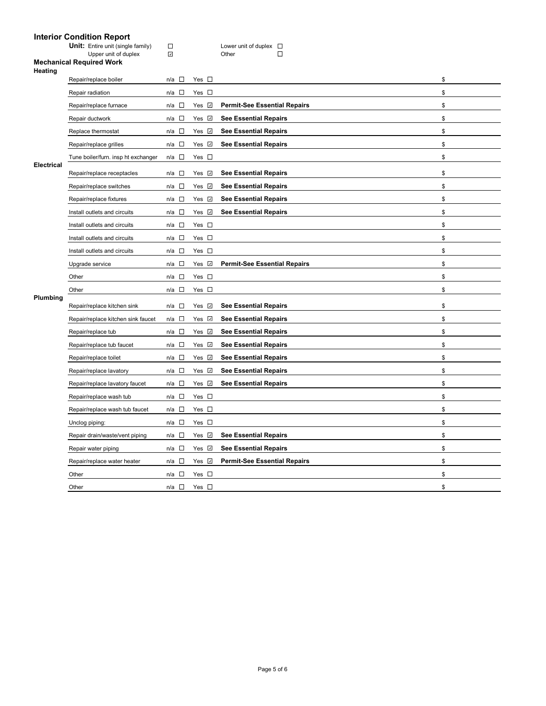## **Interior Condition Report**

| <b>Unit:</b> Entire unit (single family) | Lower |
|------------------------------------------|-------|
| Upper unit of duplex                     | Other |

**Unit: Unit Contains Unit Contains Container**<br> **Unit Contains Contains Contains Container**<br>
D  $\Box$ 

### **Mechanical Required Work**

| \$<br>\$<br><b>Permit-See Essential Repairs</b><br>\$<br>\$<br>\$<br>\$<br>\$<br>\$<br>\$<br>\$<br>\$<br>\$<br>\$ |
|-------------------------------------------------------------------------------------------------------------------|
|                                                                                                                   |
|                                                                                                                   |
|                                                                                                                   |
|                                                                                                                   |
|                                                                                                                   |
|                                                                                                                   |
|                                                                                                                   |
|                                                                                                                   |
|                                                                                                                   |
|                                                                                                                   |
|                                                                                                                   |
|                                                                                                                   |
|                                                                                                                   |
| \$                                                                                                                |
| \$<br><b>Permit-See Essential Repairs</b>                                                                         |
| \$                                                                                                                |
| \$                                                                                                                |
| \$                                                                                                                |
| \$                                                                                                                |
| \$                                                                                                                |
| \$                                                                                                                |
| \$                                                                                                                |
| \$                                                                                                                |
| \$                                                                                                                |
| \$                                                                                                                |
| \$                                                                                                                |
| \$                                                                                                                |
| \$                                                                                                                |
| \$                                                                                                                |
| \$<br><b>Permit-See Essential Repairs</b>                                                                         |
| \$                                                                                                                |
| \$                                                                                                                |
|                                                                                                                   |